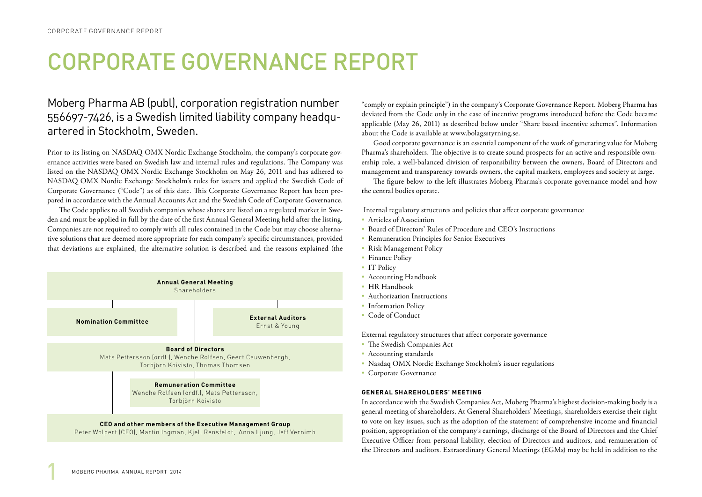## CORPORATE GOVERNANCE REPORT

## Moberg Pharma AB (publ), corporation registration number 556697-7426, is a Swedish limited liability company headquartered in Stockholm, Sweden.

Prior to its listing on NASDAQ OMX Nordic Exchange Stockholm, the company's corporate governance activities were based on Swedish law and internal rules and regulations. The Company was listed on the NASDAQ OMX Nordic Exchange Stockholm on May 26, 2011 and has adhered to NASDAQ OMX Nordic Exchange Stockholm's rules for issuers and applied the Swedish Code of Corporate Governance ("Code") as of this date. This Corporate Governance Report has been prepared in accordance with the Annual Accounts Act and the Swedish Code of Corporate Governance.

The Code applies to all Swedish companies whose shares are listed on a regulated market in Sweden and must be applied in full by the date of the first Annual General Meeting held after the listing. Companies are not required to comply with all rules contained in the Code but may choose alternative solutions that are deemed more appropriate for each company's specific circumstances, provided that deviations are explained, the alternative solution is described and the reasons explained (the



"comply or explain principle") in the company's Corporate Governance Report. Moberg Pharma has deviated from the Code only in the case of incentive programs introduced before the Code became applicable (May 26, 2011) as described below under "Share based incentive schemes". Information about the Code is available at www.bolagsstyrning.se.

Good corporate governance is an essential component of the work of generating value for Moberg Pharma's shareholders. The objective is to create sound prospects for an active and responsible ownership role, a well-balanced division of responsibility between the owners, Board of Directors and management and transparency towards owners, the capital markets, employees and society at large.

The figure below to the left illustrates Moberg Pharma's corporate governance model and how the central bodies operate.

Internal regulatory structures and policies that affect corporate governance

- Articles of Association
- Board of Directors' Rules of Procedure and CEO's Instructions
- Remuneration Principles for Senior Executives
- Risk Management Policy
- Finance Policy
- IT Policy
- Accounting Handbook
- HR Handbook
- Authorization Instructions
- Information Policy
- Code of Conduct

External regulatory structures that affect corporate governance

- The Swedish Companies Act
- Accounting standards
- Nasdaq OMX Nordic Exchange Stockholm's issuer regulations
- Corporate Governance

#### **GENERAL SHAREHOLDERS' MEETING**

In accordance with the Swedish Companies Act, Moberg Pharma's highest decision-making body is a general meeting of shareholders. At General Shareholders' Meetings, shareholders exercise their right to vote on key issues, such as the adoption of the statement of comprehensive income and financial position, appropriation of the company's earnings, discharge of the Board of Directors and the Chief Executive Officer from personal liability, election of Directors and auditors, and remuneration of the Directors and auditors. Extraordinary General Meetings (EGMs) may be held in addition to the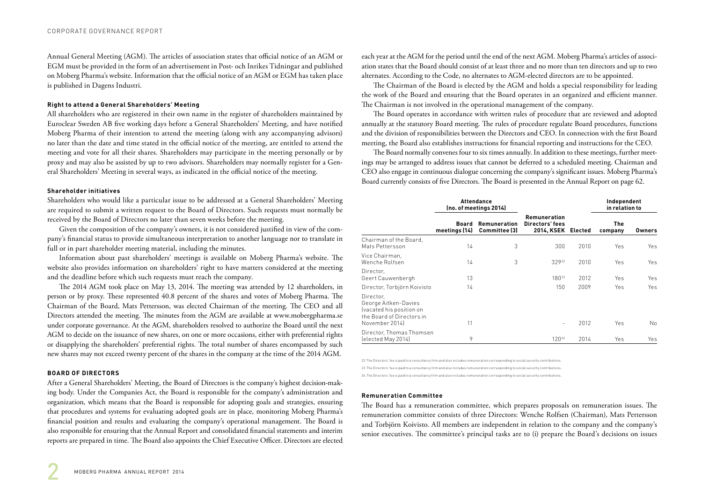Annual General Meeting (AGM). The articles of association states that official notice of an AGM or EGM must be provided in the form of an advertisement in Post- och Inrikes Tidningar and published on Moberg Pharma's website. Information that the official notice of an AGM or EGM has taken place is published in Dagens Industri.

#### **Right to attend a General Shareholders' Meeting**

All shareholders who are registered in their own name in the register of shareholders maintained by Euroclear Sweden AB five working days before a General Shareholders' Meeting, and have notified Moberg Pharma of their intention to attend the meeting (along with any accompanying advisors) no later than the date and time stated in the official notice of the meeting, are entitled to attend the meeting and vote for all their shares. Shareholders may participate in the meeting personally or by proxy and may also be assisted by up to two advisors. Shareholders may normally register for a General Shareholders' Meeting in several ways, as indicated in the official notice of the meeting.

#### **Shareholder initiatives**

Shareholders who would like a particular issue to be addressed at a General Shareholders' Meeting are required to submit a written request to the Board of Directors. Such requests must normally be received by the Board of Directors no later than seven weeks before the meeting.

Given the composition of the company's owners, it is not considered justified in view of the company's financial status to provide simultaneous interpretation to another language nor to translate in full or in part shareholder meeting material, including the minutes.

Information about past shareholders' meetings is available on Moberg Pharma's website. The website also provides information on shareholders' right to have matters considered at the meeting and the deadline before which such requests must reach the company.

The 2014 AGM took place on May 13, 2014. The meeting was attended by 12 shareholders, in person or by proxy. These represented 40.8 percent of the shares and votes of Moberg Pharma. The Chairman of the Board, Mats Pettersson, was elected Chairman of the meeting. The CEO and all Directors attended the meeting. The minutes from the AGM are available at www.mobergpharma.se under corporate governance. At the AGM, shareholders resolved to authorize the Board until the next AGM to decide on the issuance of new shares, on one or more occasions, either with preferential rights or disapplying the shareholders' preferential rights. The total number of shares encompassed by such new shares may not exceed twenty percent of the shares in the company at the time of the 2014 AGM.

#### **BOARD OF DIRECTORS**

After a General Shareholders' Meeting, the Board of Directors is the company's highest decision-making body. Under the Companies Act, the Board is responsible for the company's administration and organization, which means that the Board is responsible for adopting goals and strategies, ensuring that procedures and systems for evaluating adopted goals are in place, monitoring Moberg Pharma's financial position and results and evaluating the company's operational management. The Board is also responsible for ensuring that the Annual Report and consolidated financial statements and interim reports are prepared in time. The Board also appoints the Chief Executive Officer. Directors are elected

each year at the AGM for the period until the end of the next AGM. Moberg Pharma's articles of association states that the Board should consist of at least three and no more than ten directors and up to two alternates. According to the Code, no alternates to AGM-elected directors are to be appointed.

The Chairman of the Board is elected by the AGM and holds a special responsibility for leading the work of the Board and ensuring that the Board operates in an organized and efficient manner. The Chairman is not involved in the operational management of the company.

The Board operates in accordance with written rules of procedure that are reviewed and adopted annually at the statutory Board meeting. The rules of procedure regulate Board procedures, functions and the division of responsibilities between the Directors and CEO. In connection with the first Board meeting, the Board also establishes instructions for financial reporting and instructions for the CEO.

The Board normally convenes four to six times annually. In addition to these meetings, further meetings may be arranged to address issues that cannot be deferred to a scheduled meeting. Chairman and CEO also engage in continuous dialogue concerning the company's significant issues. Moberg Pharma's Board currently consists of five Directors. The Board is presented in the Annual Report on page 62.

|                                                                                                              |                        | <b>Attendance</b><br>(no. of meetings 2014) |                                                              |      | Independent<br>in relation to |               |
|--------------------------------------------------------------------------------------------------------------|------------------------|---------------------------------------------|--------------------------------------------------------------|------|-------------------------------|---------------|
|                                                                                                              | Board<br>meetings (14) | <b>Remuneration</b><br>Committee (3)        | <b>Remuneration</b><br>Directors' fees<br>2014, KSEK Elected |      | <b>The</b><br>company         | <b>Owners</b> |
| Chairman of the Board,<br>Mats Pettersson                                                                    | 14                     | 3                                           | 300                                                          | 2010 | Yes                           | Yes           |
| Vice Chairman,<br>Wenche Rolfsen                                                                             | 14                     | 3                                           | 32922                                                        | 2010 | Yes                           | Yes           |
| Director,<br>Geert Cauwenbergh                                                                               | 13                     |                                             | $180^{23}$                                                   | 2012 | Yes                           | Yes           |
| Director, Torbjörn Koivisto                                                                                  | 14                     |                                             | 150                                                          | 2009 | Yes                           | Yes           |
| Director,<br>George Aitken-Davies<br>(vacated his position on<br>the Board of Directors in<br>November 2014) | 11                     |                                             | ٠                                                            | 2012 | Yes                           | <b>No</b>     |
| Director, Thomas Thomsen<br>(elected May 2014)                                                               | 9                      |                                             | 120 <sup>24</sup>                                            | 2014 | Yes                           | Yes           |

22 The Directors' fee is paid to a consultancy firm and also includes remuneration corresponding to social security contributions.

23 The Directors' fee is paid to a consultancy firm and also includes remuneration corresponding to social security contributions.

24 The Directors' fee is paid to a consultancy firm and also includes remuneration corresponding to social security contributions.

#### **Remuneration Committee**

The Board has a remuneration committee, which prepares proposals on remuneration issues. The remuneration committee consists of three Directors: Wenche Rolfsen (Chairman), Mats Pettersson and Torbjörn Koivisto. All members are independent in relation to the company and the company's senior executives. The committee's principal tasks are to (i) prepare the Board's decisions on issues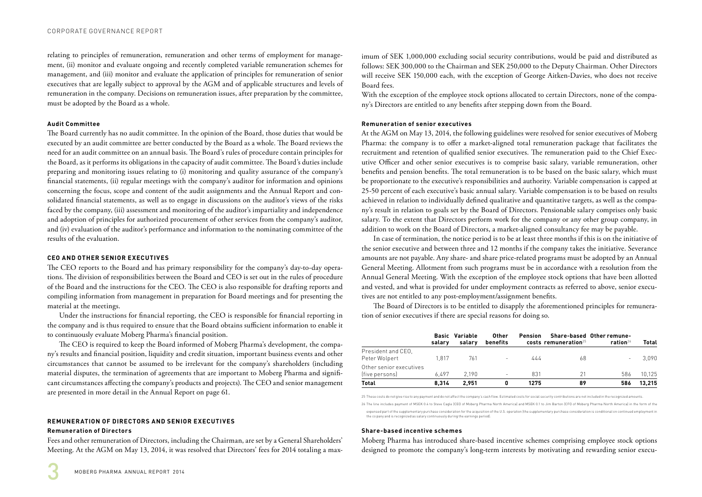relating to principles of remuneration, remuneration and other terms of employment for management, (ii) monitor and evaluate ongoing and recently completed variable remuneration schemes for management, and (iii) monitor and evaluate the application of principles for remuneration of senior executives that are legally subject to approval by the AGM and of applicable structures and levels of remuneration in the company. Decisions on remuneration issues, after preparation by the committee, must be adopted by the Board as a whole.

#### **Audit Committee**

The Board currently has no audit committee. In the opinion of the Board, those duties that would be executed by an audit committee are better conducted by the Board as a whole. The Board reviews the need for an audit committee on an annual basis. The Board's rules of procedure contain principles for the Board, as it performs its obligations in the capacity of audit committee. The Board's duties include preparing and monitoring issues relating to (i) monitoring and quality assurance of the company's financial statements, (ii) regular meetings with the company's auditor for information and opinions concerning the focus, scope and content of the audit assignments and the Annual Report and consolidated financial statements, as well as to engage in discussions on the auditor's views of the risks faced by the company, (iii) assessment and monitoring of the auditor's impartiality and independence and adoption of principles for authorized procurement of other services from the company's auditor, and (iv) evaluation of the auditor's performance and information to the nominating committee of the results of the evaluation.

#### **CEO AND OTHER SENIOR EXECUTIVES**

The CEO reports to the Board and has primary responsibility for the company's day-to-day operations. The division of responsibilities between the Board and CEO is set out in the rules of procedure of the Board and the instructions for the CEO. The CEO is also responsible for drafting reports and compiling information from management in preparation for Board meetings and for presenting the material at the meetings.

Under the instructions for financial reporting, the CEO is responsible for financial reporting in the company and is thus required to ensure that the Board obtains sufficient information to enable it to continuously evaluate Moberg Pharma's financial position.

The CEO is required to keep the Board informed of Moberg Pharma's development, the company's results and financial position, liquidity and credit situation, important business events and other circumstances that cannot be assumed to be irrelevant for the company's shareholders (including material disputes, the termination of agreements that are important to Moberg Pharma and significant circumstances affecting the company's products and projects). The CEO and senior management are presented in more detail in the Annual Report on page 61.

### **REMUNERATION OF DIRECTORS AND SENIOR EXECUTIVES**

#### **Remuneration of Directors**

Fees and other remuneration of Directors, including the Chairman, are set by a General Shareholders' Meeting. At the AGM on May 13, 2014, it was resolved that Directors' fees for 2014 totaling a maximum of SEK 1,000,000 excluding social security contributions, would be paid and distributed as follows: SEK 300,000 to the Chairman and SEK 250,000 to the Deputy Chairman. Other Directors will receive SEK 150,000 each, with the exception of George Aitken-Davies, who does not receive Board fees.

With the exception of the employee stock options allocated to certain Directors, none of the company's Directors are entitled to any benefits after stepping down from the Board.

#### **Remuneration of senior executives**

At the AGM on May 13, 2014, the following guidelines were resolved for senior executives of Moberg Pharma: the company is to offer a market-aligned total remuneration package that facilitates the recruitment and retention of qualified senior executives. The remuneration paid to the Chief Executive Officer and other senior executives is to comprise basic salary, variable remuneration, other benefits and pension benefits. The total remuneration is to be based on the basic salary, which must be proportionate to the executive's responsibilities and authority. Variable compensation is capped at 25-50 percent of each executive's basic annual salary. Variable compensation is to be based on results achieved in relation to individually defined qualitative and quantitative targets, as well as the company's result in relation to goals set by the Board of Directors. Pensionable salary comprises only basic salary. To the extent that Directors perform work for the company or any other group company, in addition to work on the Board of Directors, a market-aligned consultancy fee may be payable.

In case of termination, the notice period is to be at least three months if this is on the initiative of the senior executive and between three and 12 months if the company takes the initiative. Severance amounts are not payable. Any share- and share price-related programs must be adopted by an Annual General Meeting. Allotment from such programs must be in accordance with a resolution from the Annual General Meeting. With the exception of the employee stock options that have been allotted and vested, and what is provided for under employment contracts as referred to above, senior executives are not entitled to any post-employment/assignment benefits.

The Board of Directors is to be entitled to disapply the aforementioned principles for remuneration of senior executives if there are special reasons for doing so.

|                                           | salarv | <b>Basic Variable</b><br>salarv | Other<br>benefits        | Pension | $costs$ remuneration $25$ | Share-based Other remune-<br>ration $26$ | Total  |
|-------------------------------------------|--------|---------------------------------|--------------------------|---------|---------------------------|------------------------------------------|--------|
| President and CEO,<br>Peter Wolpert       | 1.817  | 761                             | $\sim$                   | 444     | 68                        | ٠                                        | 3.090  |
| Other senior executives<br>(five persons) | 6.497  | 2.190                           | $\overline{\phantom{a}}$ | 831     | 21                        | 586                                      | 10.125 |
| Total                                     | 8.314  | 2.951                           |                          | 1275    | 89                        | 586                                      | 13.215 |

25 These costs do not give rise to any payment and do not affect the company's cash flow. Estimated costs for social security contributions are not included in the recognized amount

26 The line includes payment of MSEK 0.4 to Steve Cagle (CEO of Moberg Pharma North America) and MSEK 0.1 to Jim Barton (CFO of Moberg Pharma North America) in the form of the expensed part of the supplementary purchase consideration for the acquisition of the U.S. operation (the supplementary purchase consideration is conditional on continued employment i the co pany and is recognized as salary continuously during the earnings period).

#### **Share-based incentive schemes**

Moberg Pharma has introduced share-based incentive schemes comprising employee stock options designed to promote the company's long-term interests by motivating and rewarding senior execu-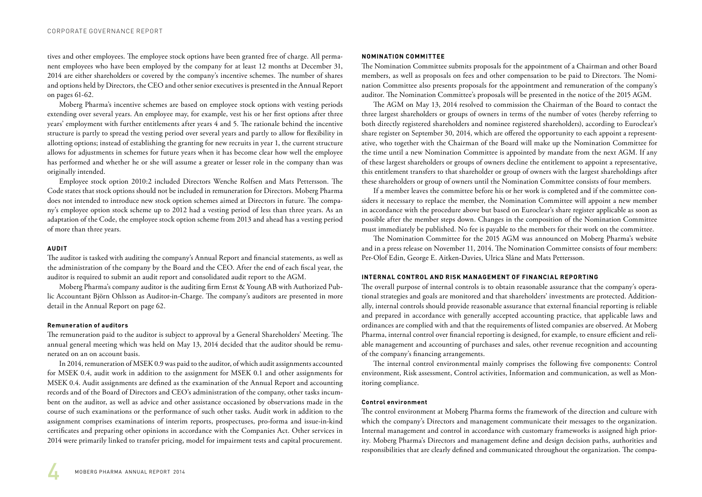tives and other employees. The employee stock options have been granted free of charge. All permanent employees who have been employed by the company for at least 12 months at December 31, 2014 are either shareholders or covered by the company's incentive schemes. The number of shares and options held by Directors, the CEO and other senior executives is presented in the Annual Report on pages 61-62.

Moberg Pharma's incentive schemes are based on employee stock options with vesting periods extending over several years. An employee may, for example, vest his or her first options after three years' employment with further entitlements after years 4 and 5. The rationale behind the incentive structure is partly to spread the vesting period over several years and partly to allow for flexibility in allotting options; instead of establishing the granting for new recruits in year 1, the current structure allows for adjustments in schemes for future years when it has become clear how well the employee has performed and whether he or she will assume a greater or lesser role in the company than was originally intended.

Employee stock option 2010:2 included Directors Wenche Rolfsen and Mats Pettersson. The Code states that stock options should not be included in remuneration for Directors. Moberg Pharma does not intended to introduce new stock option schemes aimed at Directors in future. The company's employee option stock scheme up to 2012 had a vesting period of less than three years. As an adaptation of the Code, the employee stock option scheme from 2013 and ahead has a vesting period of more than three years.

#### **AUDIT**

The auditor is tasked with auditing the company's Annual Report and financial statements, as well as the administration of the company by the Board and the CEO. After the end of each fiscal year, the auditor is required to submit an audit report and consolidated audit report to the AGM.

Moberg Pharma's company auditor is the auditing firm Ernst & Young AB with Authorized Public Accountant Björn Ohlsson as Auditor-in-Charge. The company's auditors are presented in more detail in the Annual Report on page 62.

#### **Remuneration of auditors**

The remuneration paid to the auditor is subject to approval by a General Shareholders' Meeting. The annual general meeting which was held on May 13, 2014 decided that the auditor should be remunerated on an on account basis.

In 2014, remuneration of MSEK 0.9 was paid to the auditor, of which audit assignments accounted for MSEK 0.4, audit work in addition to the assignment for MSEK 0.1 and other assignments for MSEK 0.4. Audit assignments are defined as the examination of the Annual Report and accounting records and of the Board of Directors and CEO's administration of the company, other tasks incumbent on the auditor, as well as advice and other assistance occasioned by observations made in the course of such examinations or the performance of such other tasks. Audit work in addition to the assignment comprises examinations of interim reports, prospectuses, pro-forma and issue-in-kind certificates and preparing other opinions in accordance with the Companies Act. Other services in 2014 were primarily linked to transfer pricing, model for impairment tests and capital procurement.

#### **NOMINATION COMMITTEE**

The Nomination Committee submits proposals for the appointment of a Chairman and other Board members, as well as proposals on fees and other compensation to be paid to Directors. The Nomination Committee also presents proposals for the appointment and remuneration of the company's auditor. The Nomination Committee's proposals will be presented in the notice of the 2015 AGM.

The AGM on May 13, 2014 resolved to commission the Chairman of the Board to contact the three largest shareholders or groups of owners in terms of the number of votes (hereby referring to both directly registered shareholders and nominee registered shareholders), according to Euroclear's share register on September 30, 2014, which are offered the opportunity to each appoint a representative, who together with the Chairman of the Board will make up the Nomination Committee for the time until a new Nomination Committee is appointed by mandate from the next AGM. If any of these largest shareholders or groups of owners decline the entitlement to appoint a representative, this entitlement transfers to that shareholder or group of owners with the largest shareholdings after these shareholders or group of owners until the Nomination Committee consists of four members.

If a member leaves the committee before his or her work is completed and if the committee considers it necessary to replace the member, the Nomination Committee will appoint a new member in accordance with the procedure above but based on Euroclear's share register applicable as soon as possible after the member steps down. Changes in the composition of the Nomination Committee must immediately be published. No fee is payable to the members for their work on the committee.

The Nomination Committee for the 2015 AGM was announced on Moberg Pharma's website and in a press release on November 11, 2014. The Nomination Committee consists of four members: Per-Olof Edin, George E. Aitken-Davies, Ulrica Slåne and Mats Pettersson.

#### **INTERNAL CONTROL AND RISK MANAGEMENT OF FINANCIAL REPORTING**

The overall purpose of internal controls is to obtain reasonable assurance that the company's operational strategies and goals are monitored and that shareholders' investments are protected. Additionally, internal controls should provide reasonable assurance that external financial reporting is reliable and prepared in accordance with generally accepted accounting practice, that applicable laws and ordinances are complied with and that the requirements of listed companies are observed. At Moberg Pharma, internal control over financial reporting is designed, for example, to ensure efficient and reliable management and accounting of purchases and sales, other revenue recognition and accounting of the company's financing arrangements.

The internal control environmental mainly comprises the following five components: Control environment, Risk assessment, Control activities, Information and communication, as well as Monitoring compliance.

#### **Control environment**

The control environment at Moberg Pharma forms the framework of the direction and culture with which the company's Directors and management communicate their messages to the organization. Internal management and control in accordance with customary frameworks is assigned high priority. Moberg Pharma's Directors and management define and design decision paths, authorities and responsibilities that are clearly defined and communicated throughout the organization. The compa-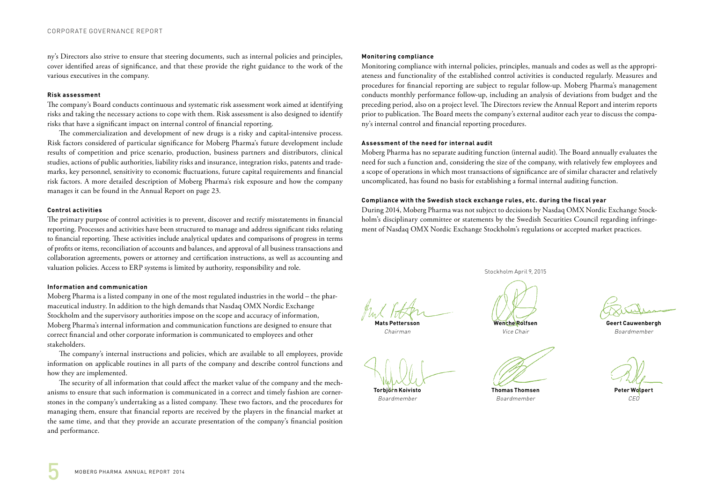ny's Directors also strive to ensure that steering documents, such as internal policies and principles, cover identified areas of significance, and that these provide the right guidance to the work of the various executives in the company.

#### **Risk assessment**

The company's Board conducts continuous and systematic risk assessment work aimed at identifying risks and taking the necessary actions to cope with them. Risk assessment is also designed to identify risks that have a significant impact on internal control of financial reporting.

The commercialization and development of new drugs is a risky and capital-intensive process. Risk factors considered of particular significance for Moberg Pharma's future development include results of competition and price scenario, production, business partners and distributors, clinical studies, actions of public authorities, liability risks and insurance, integration risks, patents and trademarks, key personnel, sensitivity to economic fluctuations, future capital requirements and financial risk factors. A more detailed description of Moberg Pharma's risk exposure and how the company manages it can be found in the Annual Report on page 23.

#### **Control activities**

The primary purpose of control activities is to prevent, discover and rectify misstatements in financial reporting. Processes and activities have been structured to manage and address significant risks relating to financial reporting. These activities include analytical updates and comparisons of progress in terms of profits or items, reconciliation of accounts and balances, and approval of all business transactions and collaboration agreements, powers or attorney and certification instructions, as well as accounting and valuation policies. Access to ERP systems is limited by authority, responsibility and role.

#### **Information and communication**

Moberg Pharma is a listed company in one of the most regulated industries in the world – the pharmaceutical industry. In addition to the high demands that Nasdaq OMX Nordic Exchange Stockholm and the supervisory authorities impose on the scope and accuracy of information, Moberg Pharma's internal information and communication functions are designed to ensure that correct financial and other corporate information is communicated to employees and other stakeholders.

The company's internal instructions and policies, which are available to all employees, provide information on applicable routines in all parts of the company and describe control functions and how they are implemented.

The security of all information that could affect the market value of the company and the mechanisms to ensure that such information is communicated in a correct and timely fashion are cornerstones in the company's undertaking as a listed company. These two factors, and the procedures for managing them, ensure that financial reports are received by the players in the financial market at the same time, and that they provide an accurate presentation of the company's financial position and performance.

#### **Monitoring compliance**

Monitoring compliance with internal policies, principles, manuals and codes as well as the appropriateness and functionality of the established control activities is conducted regularly. Measures and procedures for financial reporting are subject to regular follow-up. Moberg Pharma's management conducts monthly performance follow-up, including an analysis of deviations from budget and the preceding period, also on a project level. The Directors review the Annual Report and interim reports prior to publication. The Board meets the company's external auditor each year to discuss the company's internal control and financial reporting procedures.

#### **Assessment of the need for internal audit**

Moberg Pharma has no separate auditing function (internal audit). The Board annually evaluates the need for such a function and, considering the size of the company, with relatively few employees and a scope of operations in which most transactions of significance are of similar character and relatively uncomplicated, has found no basis for establishing a formal internal auditing function.

#### **Compliance with the Swedish stock exchange rules, etc. during the fiscal year**

During 2014, Moberg Pharma was not subject to decisions by Nasdaq OMX Nordic Exchange Stockholm's disciplinary committee or statements by the Swedish Securities Council regarding infringement of Nasdaq OMX Nordic Exchange Stockholm's regulations or accepted market practices.

**Mats Pettersson** 

Chairman

**Wenche Rolfsen**

Boardmember

Stockholm April 9, 2015

Vice Chair

**Thomas Thomsen**

**Torbjörn Koivisto** Boardmember

**Geert Cauwenbergh** Boardmember

**Peter Wolpert** CEO